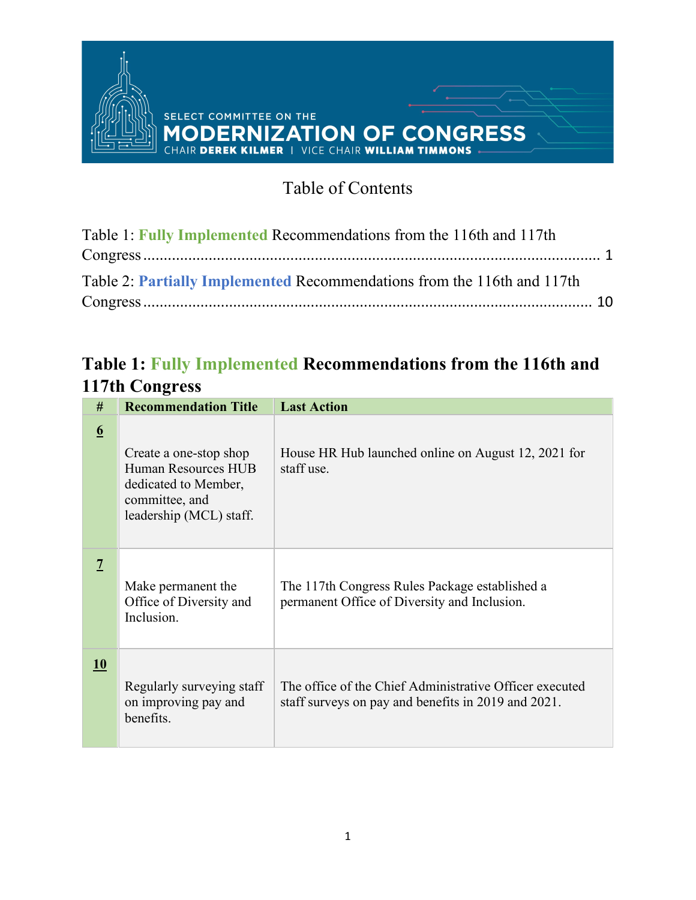

#### SELECT COMMITTEE ON THE **MODERNIZATION OF CONGRESS**

#### Table of Contents

| Table 1: Fully Implemented Recommendations from the 116th and 117th     |  |
|-------------------------------------------------------------------------|--|
|                                                                         |  |
| Table 2: Partially Implemented Recommendations from the 116th and 117th |  |
|                                                                         |  |

#### <span id="page-0-0"></span>**Table 1: Fully Implemented Recommendations from the 116th and 117th Congress**

| #               | <b>Recommendation Title</b>                                                                                        | <b>Last Action</b>                                                                                             |
|-----------------|--------------------------------------------------------------------------------------------------------------------|----------------------------------------------------------------------------------------------------------------|
| $6\overline{6}$ | Create a one-stop shop<br>Human Resources HUB<br>dedicated to Member,<br>committee, and<br>leadership (MCL) staff. | House HR Hub launched online on August 12, 2021 for<br>staff use.                                              |
| $\overline{1}$  | Make permanent the<br>Office of Diversity and<br>Inclusion.                                                        | The 117th Congress Rules Package established a<br>permanent Office of Diversity and Inclusion.                 |
| 10              | Regularly surveying staff<br>on improving pay and<br>benefits.                                                     | The office of the Chief Administrative Officer executed<br>staff surveys on pay and benefits in 2019 and 2021. |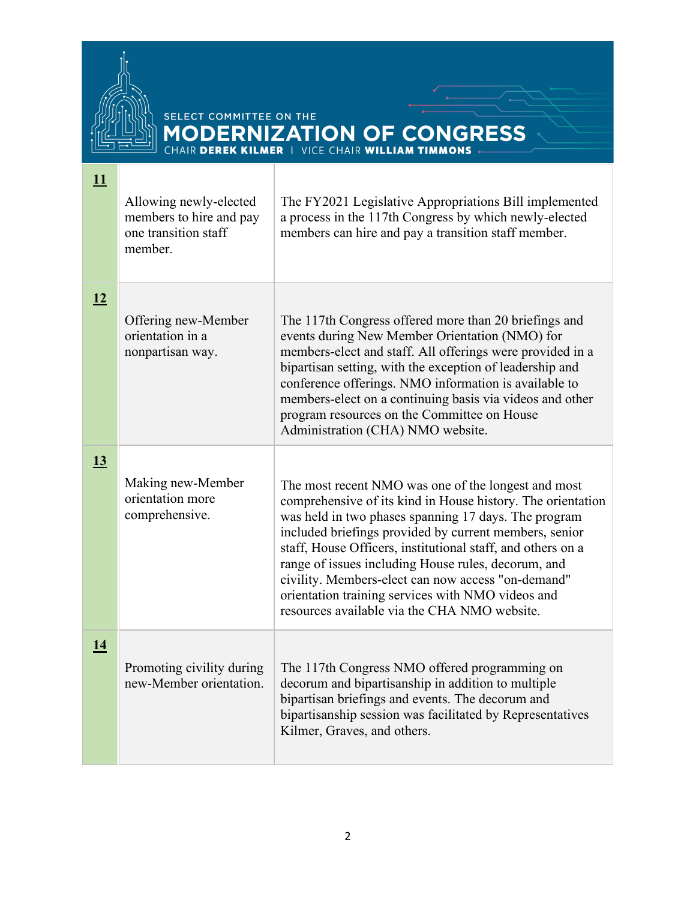

**[11](https://www.govinfo.gov/content/pkg/CPRT-116HPRT37419/pdf/CPRT-116HPRT37419.pdf)** Allowing newly-elected members to hire and pay one transition staff member. The FY2021 Legislative Appropriations Bill implemented a process in the 117th Congress by which newly-elected members can hire and pay a transition staff member. **[12](https://www.govinfo.gov/content/pkg/CPRT-116HPRT37419/pdf/CPRT-116HPRT37419.pdf)** Offering new-Member orientation in a nonpartisan way. The 117th Congress offered more than 20 briefings and events during New Member Orientation (NMO) for members-elect and staff. All offerings were provided in a bipartisan setting, with the exception of leadership and conference offerings. NMO information is available to members-elect on a continuing basis via videos and other program resources on the Committee on House Administration (CHA) NMO website. **[13](https://www.govinfo.gov/content/pkg/CPRT-116HPRT37419/pdf/CPRT-116HPRT37419.pdf)** Making new-Member orientation more comprehensive. The most recent NMO was one of the longest and most comprehensive of its kind in House history. The orientation was held in two phases spanning 17 days. The program included briefings provided by current members, senior staff, House Officers, institutional staff, and others on a range of issues including House rules, decorum, and civility. Members-elect can now access "on-demand" orientation training services with NMO videos and resources available via the CHA NMO website. **[14](https://www.govinfo.gov/content/pkg/CPRT-116HPRT37419/pdf/CPRT-116HPRT37419.pdf)** Promoting civility during new-Member orientation. The 117th Congress NMO offered programming on decorum and bipartisanship in addition to multiple bipartisan briefings and events. The decorum and bipartisanship session was facilitated by Representatives Kilmer, Graves, and others.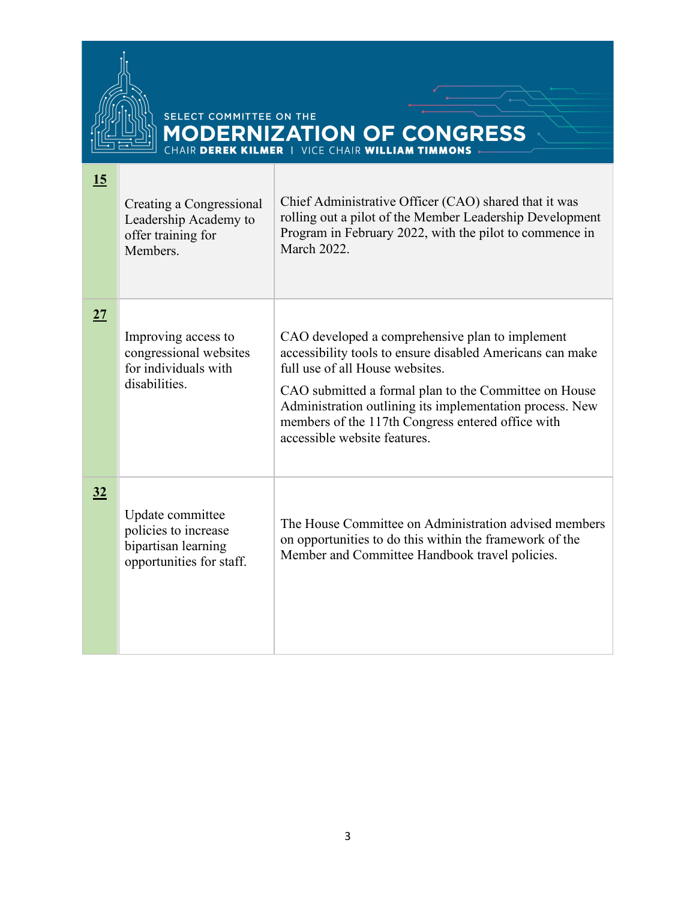

| 15 | Creating a Congressional<br>Leadership Academy to<br>offer training for<br>Members.         | Chief Administrative Officer (CAO) shared that it was<br>rolling out a pilot of the Member Leadership Development<br>Program in February 2022, with the pilot to commence in<br>March 2022.                                                                                                                                                               |
|----|---------------------------------------------------------------------------------------------|-----------------------------------------------------------------------------------------------------------------------------------------------------------------------------------------------------------------------------------------------------------------------------------------------------------------------------------------------------------|
| 27 | Improving access to<br>congressional websites<br>for individuals with<br>disabilities.      | CAO developed a comprehensive plan to implement<br>accessibility tools to ensure disabled Americans can make<br>full use of all House websites.<br>CAO submitted a formal plan to the Committee on House<br>Administration outlining its implementation process. New<br>members of the 117th Congress entered office with<br>accessible website features. |
| 32 | Update committee<br>policies to increase<br>bipartisan learning<br>opportunities for staff. | The House Committee on Administration advised members<br>on opportunities to do this within the framework of the<br>Member and Committee Handbook travel policies.                                                                                                                                                                                        |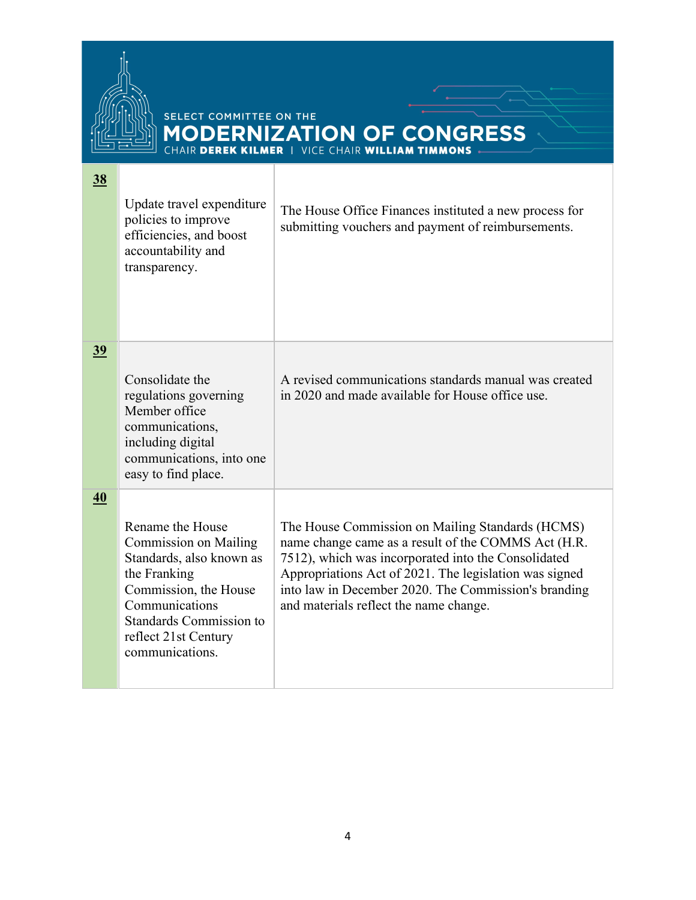

| <u>38</u>        | Update travel expenditure<br>policies to improve<br>efficiencies, and boost<br>accountability and<br>transparency.                                                                                                   | The House Office Finances instituted a new process for<br>submitting vouchers and payment of reimbursements.                                                                                                                                                                                                               |
|------------------|----------------------------------------------------------------------------------------------------------------------------------------------------------------------------------------------------------------------|----------------------------------------------------------------------------------------------------------------------------------------------------------------------------------------------------------------------------------------------------------------------------------------------------------------------------|
| <u>39</u>        | Consolidate the<br>regulations governing<br>Member office<br>communications,<br>including digital<br>communications, into one<br>easy to find place.                                                                 | A revised communications standards manual was created<br>in 2020 and made available for House office use.                                                                                                                                                                                                                  |
| $\underline{40}$ | Rename the House<br><b>Commission on Mailing</b><br>Standards, also known as<br>the Franking<br>Commission, the House<br>Communications<br><b>Standards Commission to</b><br>reflect 21st Century<br>communications. | The House Commission on Mailing Standards (HCMS)<br>name change came as a result of the COMMS Act (H.R.<br>7512), which was incorporated into the Consolidated<br>Appropriations Act of 2021. The legislation was signed<br>into law in December 2020. The Commission's branding<br>and materials reflect the name change. |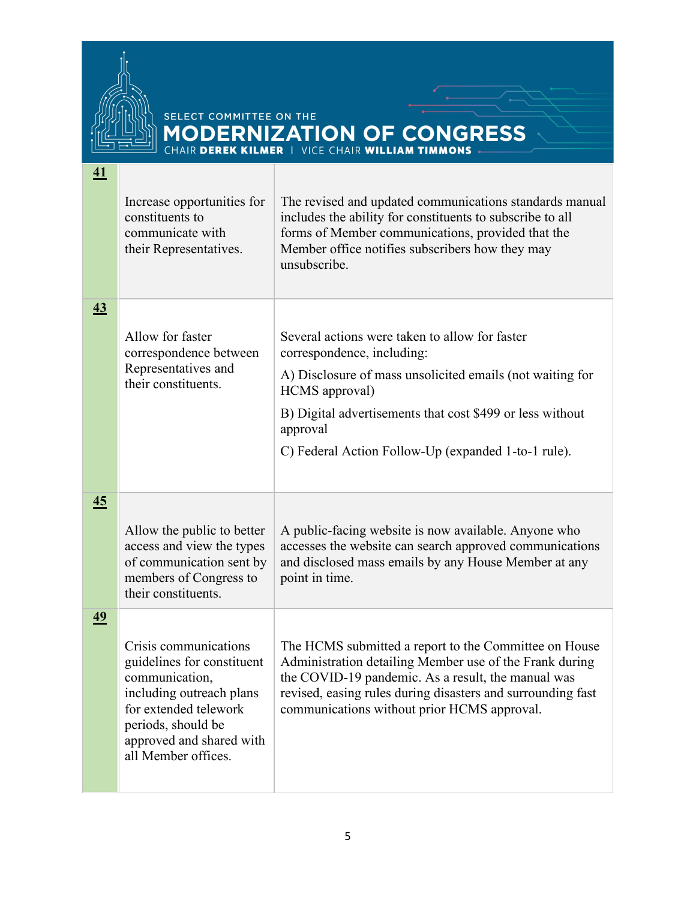

**[41](https://www.govinfo.gov/content/pkg/CPRT-116HPRT38772/pdf/CPRT-116HPRT38772.pdf)**

|                  | Increase opportunities for<br>constituents to<br>communicate with<br>their Representatives.                                                                                                         | The revised and updated communications standards manual<br>includes the ability for constituents to subscribe to all<br>forms of Member communications, provided that the<br>Member office notifies subscribers how they may<br>unsubscribe.                                                |
|------------------|-----------------------------------------------------------------------------------------------------------------------------------------------------------------------------------------------------|---------------------------------------------------------------------------------------------------------------------------------------------------------------------------------------------------------------------------------------------------------------------------------------------|
| $\underline{43}$ | Allow for faster<br>correspondence between<br>Representatives and<br>their constituents.                                                                                                            | Several actions were taken to allow for faster<br>correspondence, including:<br>A) Disclosure of mass unsolicited emails (not waiting for<br>HCMS approval)<br>B) Digital advertisements that cost \$499 or less without<br>approval<br>C) Federal Action Follow-Up (expanded 1-to-1 rule). |
| 45               | Allow the public to better<br>access and view the types<br>of communication sent by<br>members of Congress to<br>their constituents.                                                                | A public-facing website is now available. Anyone who<br>accesses the website can search approved communications<br>and disclosed mass emails by any House Member at any<br>point in time.                                                                                                   |
| 49               | Crisis communications<br>guidelines for constituent<br>communication,<br>including outreach plans<br>for extended telework<br>periods, should be<br>approved and shared with<br>all Member offices. | The HCMS submitted a report to the Committee on House<br>Administration detailing Member use of the Frank during<br>the COVID-19 pandemic. As a result, the manual was<br>revised, easing rules during disasters and surrounding fast<br>communications without prior HCMS approval.        |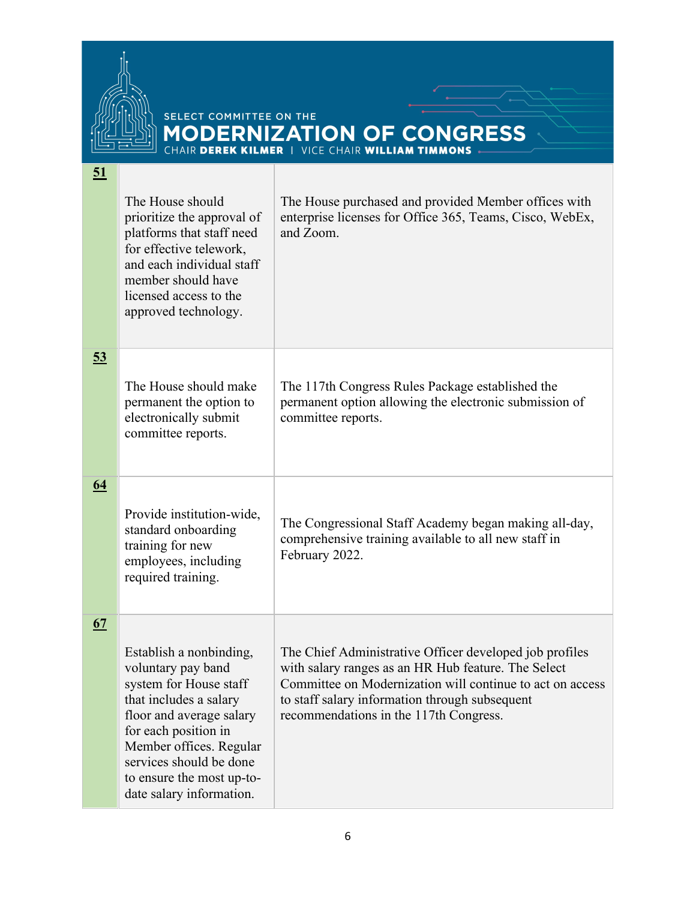

| 51               |                                                                                                                                                                                                                                                                      |                                                                                                                                                                                                                                                                         |
|------------------|----------------------------------------------------------------------------------------------------------------------------------------------------------------------------------------------------------------------------------------------------------------------|-------------------------------------------------------------------------------------------------------------------------------------------------------------------------------------------------------------------------------------------------------------------------|
|                  | The House should<br>prioritize the approval of<br>platforms that staff need<br>for effective telework,<br>and each individual staff<br>member should have<br>licensed access to the<br>approved technology.                                                          | The House purchased and provided Member offices with<br>enterprise licenses for Office 365, Teams, Cisco, WebEx,<br>and Zoom.                                                                                                                                           |
| <u>53</u>        | The House should make<br>permanent the option to<br>electronically submit<br>committee reports.                                                                                                                                                                      | The 117th Congress Rules Package established the<br>permanent option allowing the electronic submission of<br>committee reports.                                                                                                                                        |
| $\underline{64}$ | Provide institution-wide,<br>standard onboarding<br>training for new<br>employees, including<br>required training.                                                                                                                                                   | The Congressional Staff Academy began making all-day,<br>comprehensive training available to all new staff in<br>February 2022.                                                                                                                                         |
| 67               | Establish a nonbinding,<br>voluntary pay band<br>system for House staff<br>that includes a salary<br>floor and average salary<br>for each position in<br>Member offices. Regular<br>services should be done<br>to ensure the most up-to-<br>date salary information. | The Chief Administrative Officer developed job profiles<br>with salary ranges as an HR Hub feature. The Select<br>Committee on Modernization will continue to act on access<br>to staff salary information through subsequent<br>recommendations in the 117th Congress. |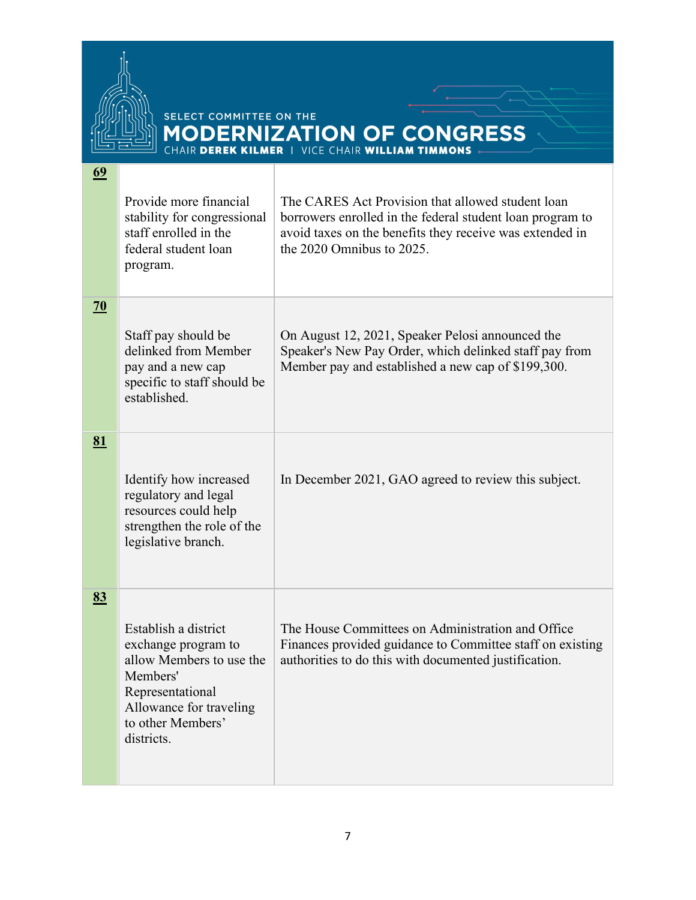

| 69              | Provide more financial                                                                                                                        | The CARES Act Provision that allowed student loan                                                                                                                |
|-----------------|-----------------------------------------------------------------------------------------------------------------------------------------------|------------------------------------------------------------------------------------------------------------------------------------------------------------------|
|                 | stability for congressional<br>staff enrolled in the<br>federal student loan<br>program.                                                      | borrowers enrolled in the federal student loan program to<br>avoid taxes on the benefits they receive was extended in<br>the $2020$ Omnibus to $2025$ .          |
| $\overline{20}$ |                                                                                                                                               |                                                                                                                                                                  |
|                 | Staff pay should be<br>delinked from Member<br>pay and a new cap<br>specific to staff should be<br>established.                               | On August 12, 2021, Speaker Pelosi announced the<br>Speaker's New Pay Order, which delinked staff pay from<br>Member pay and established a new cap of \$199,300. |
| 81              |                                                                                                                                               |                                                                                                                                                                  |
|                 | Identify how increased<br>regulatory and legal<br>resources could help<br>strengthen the role of the<br>legislative branch.                   | In December 2021, GAO agreed to review this subject.                                                                                                             |
| 83              | Establish a district                                                                                                                          | The House Committees on Administration and Office                                                                                                                |
|                 | exchange program to<br>allow Members to use the<br>Members'<br>Representational<br>Allowance for traveling<br>to other Members'<br>districts. | Finances provided guidance to Committee staff on existing<br>authorities to do this with documented justification.                                               |
|                 |                                                                                                                                               |                                                                                                                                                                  |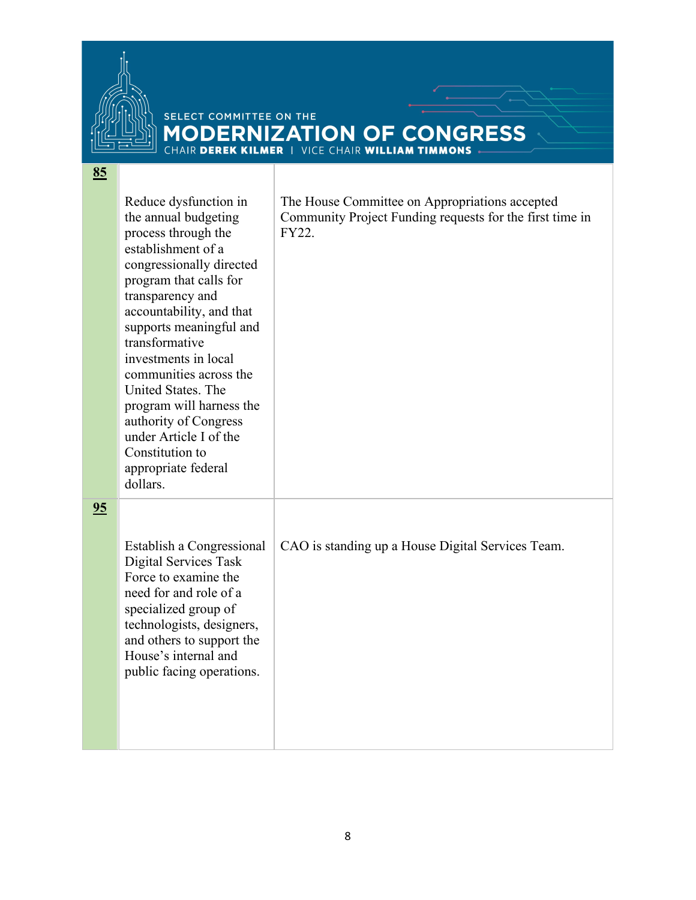

**[85](https://www.govinfo.gov/content/pkg/CPRT-116HPRT41922/pdf/CPRT-116HPRT41922.pdf)**

|    | Reduce dysfunction in<br>the annual budgeting<br>process through the<br>establishment of a<br>congressionally directed<br>program that calls for<br>transparency and<br>accountability, and that<br>supports meaningful and<br>transformative<br>investments in local<br>communities across the<br>United States. The<br>program will harness the<br>authority of Congress<br>under Article I of the<br>Constitution to<br>appropriate federal<br>dollars. | The House Committee on Appropriations accepted<br>Community Project Funding requests for the first time in<br>FY22. |
|----|------------------------------------------------------------------------------------------------------------------------------------------------------------------------------------------------------------------------------------------------------------------------------------------------------------------------------------------------------------------------------------------------------------------------------------------------------------|---------------------------------------------------------------------------------------------------------------------|
| 95 | Establish a Congressional<br>Digital Services Task<br>Force to examine the<br>need for and role of a<br>specialized group of<br>technologists, designers,<br>and others to support the<br>House's internal and<br>public facing operations.                                                                                                                                                                                                                | CAO is standing up a House Digital Services Team.                                                                   |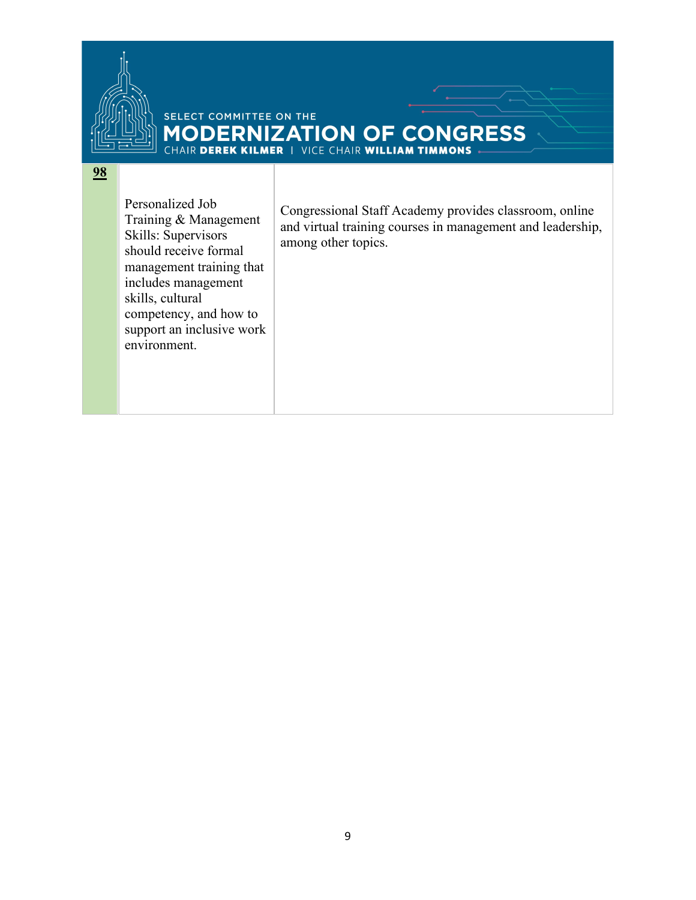

#### SELECT COMMITTEE ON THE **MODERNIZATION OF CONGRESS**

#### **98**

Personalized Job Training & Management Skills: Supervisors should receive formal management training that includes management skills, cultural competency, and how to support an inclusive work environment.

Congressional Staff Academy provides classroom, online and virtual training courses in management and leadership, among other topics.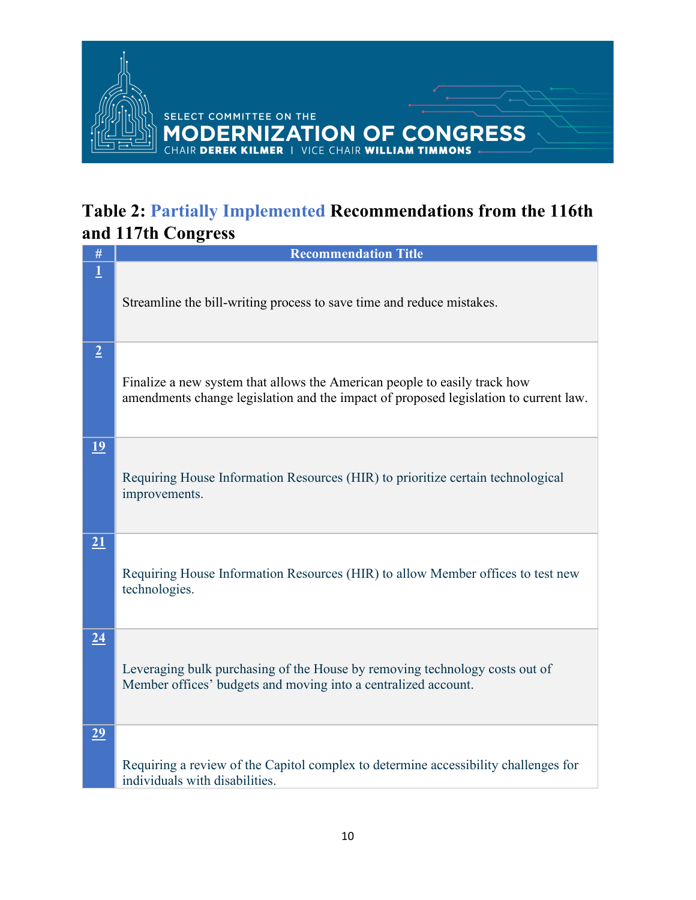

#### <span id="page-9-0"></span>**Table 2: Partially Implemented Recommendations from the 116th and 117th Congress**

| $\#$            | <b>Recommendation Title</b>                                                                                                                                       |
|-----------------|-------------------------------------------------------------------------------------------------------------------------------------------------------------------|
| $\overline{1}$  | Streamline the bill-writing process to save time and reduce mistakes.                                                                                             |
| $\overline{2}$  | Finalize a new system that allows the American people to easily track how<br>amendments change legislation and the impact of proposed legislation to current law. |
| 19              | Requiring House Information Resources (HIR) to prioritize certain technological<br>improvements.                                                                  |
| 21              | Requiring House Information Resources (HIR) to allow Member offices to test new<br>technologies.                                                                  |
| $\overline{24}$ | Leveraging bulk purchasing of the House by removing technology costs out of<br>Member offices' budgets and moving into a centralized account.                     |
| 29              | Requiring a review of the Capitol complex to determine accessibility challenges for<br>individuals with disabilities.                                             |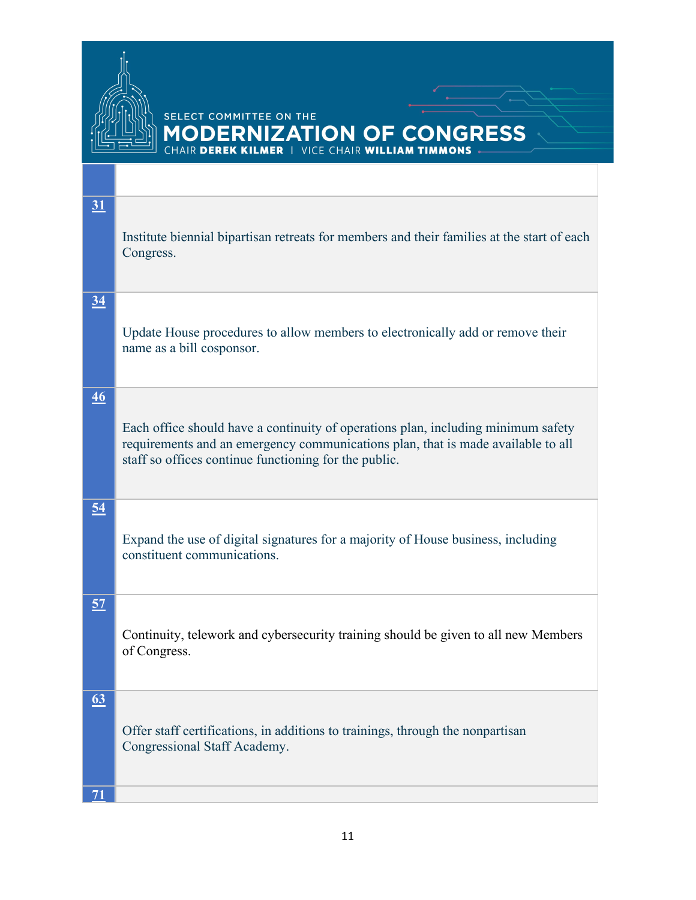

| 31               | Institute biennial bipartisan retreats for members and their families at the start of each<br>Congress.                                                                                                                        |
|------------------|--------------------------------------------------------------------------------------------------------------------------------------------------------------------------------------------------------------------------------|
| $\underline{34}$ | Update House procedures to allow members to electronically add or remove their<br>name as a bill cosponsor.                                                                                                                    |
| $\overline{46}$  | Each office should have a continuity of operations plan, including minimum safety<br>requirements and an emergency communications plan, that is made available to all<br>staff so offices continue functioning for the public. |
| <u>54</u>        | Expand the use of digital signatures for a majority of House business, including<br>constituent communications.                                                                                                                |
| 57               | Continuity, telework and cybersecurity training should be given to all new Members<br>of Congress.                                                                                                                             |
| 63               | Offer staff certifications, in additions to trainings, through the nonpartisan<br>Congressional Staff Academy.                                                                                                                 |
| 71               |                                                                                                                                                                                                                                |